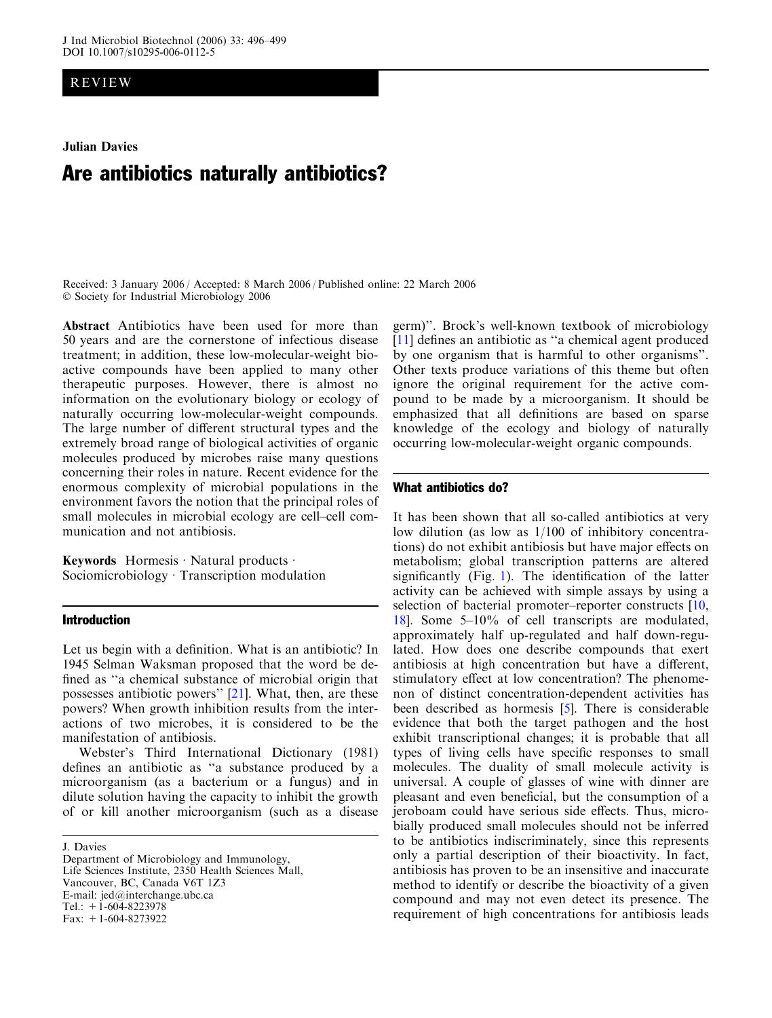## REVIEW

Julian Davies

# Are antibiotics naturally antibiotics?

Received: 3 January 2006 / Accepted: 8 March 2006 / Published online: 22 March 2006 Society for Industrial Microbiology 2006

Abstract Antibiotics have been used for more than 50 years and are the cornerstone of infectious disease treatment; in addition, these low-molecular-weight bioactive compounds have been applied to many other therapeutic purposes. However, there is almost no information on the evolutionary biology or ecology of naturally occurring low-molecular-weight compounds. The large number of different structural types and the extremely broad range of biological activities of organic molecules produced by microbes raise many questions concerning their roles in nature. Recent evidence for the enormous complexity of microbial populations in the environment favors the notion that the principal roles of small molecules in microbial ecology are cell–cell communication and not antibiosis.

Keywords Hormesis  $\cdot$  Natural products  $\cdot$ Sociomicrobiology  $\cdot$  Transcription modulation

#### Introduction

Let us begin with a definition. What is an antibiotic? In 1945 Selman Waksman proposed that the word be defined as ''a chemical substance of microbial origin that possesses antibiotic powers'' [[21\]](#page-3-0). What, then, are these powers? When growth inhibition results from the interactions of two microbes, it is considered to be the manifestation of antibiosis.

Webster's Third International Dictionary (1981) defines an antibiotic as ''a substance produced by a microorganism (as a bacterium or a fungus) and in dilute solution having the capacity to inhibit the growth of or kill another microorganism (such as a disease

Department of Microbiology and Immunology, Life Sciences Institute, 2350 Health Sciences Mall, Vancouver, BC, Canada V6T 1Z3 E-mail: jed@interchange.ubc.ca Tel.:  $+1-604-8223978$ Fax: +1-604-8273922

germ)''. Brock's well-known textbook of microbiology [\[11](#page-3-0)] defines an antibiotic as ''a chemical agent produced by one organism that is harmful to other organisms''. Other texts produce variations of this theme but often ignore the original requirement for the active compound to be made by a microorganism. It should be emphasized that all definitions are based on sparse knowledge of the ecology and biology of naturally occurring low-molecular-weight organic compounds.

## What antibiotics do?

It has been shown that all so-called antibiotics at very low dilution (as low as 1/100 of inhibitory concentrations) do not exhibit antibiosis but have major effects on metabolism; global transcription patterns are altered significantly (Fig. [1\)](#page-1-0). The identification of the latter activity can be achieved with simple assays by using a selection of bacterial promoter–reporter constructs [\[10](#page-3-0), [18](#page-3-0)]. Some 5–10% of cell transcripts are modulated, approximately half up-regulated and half down-regulated. How does one describe compounds that exert antibiosis at high concentration but have a different, stimulatory effect at low concentration? The phenomenon of distinct concentration-dependent activities has been described as hormesis [\[5](#page-3-0)]. There is considerable evidence that both the target pathogen and the host exhibit transcriptional changes; it is probable that all types of living cells have specific responses to small molecules. The duality of small molecule activity is universal. A couple of glasses of wine with dinner are pleasant and even beneficial, but the consumption of a jeroboam could have serious side effects. Thus, microbially produced small molecules should not be inferred to be antibiotics indiscriminately, since this represents only a partial description of their bioactivity. In fact, antibiosis has proven to be an insensitive and inaccurate method to identify or describe the bioactivity of a given compound and may not even detect its presence. The requirement of high concentrations for antibiosis leads

J. Davies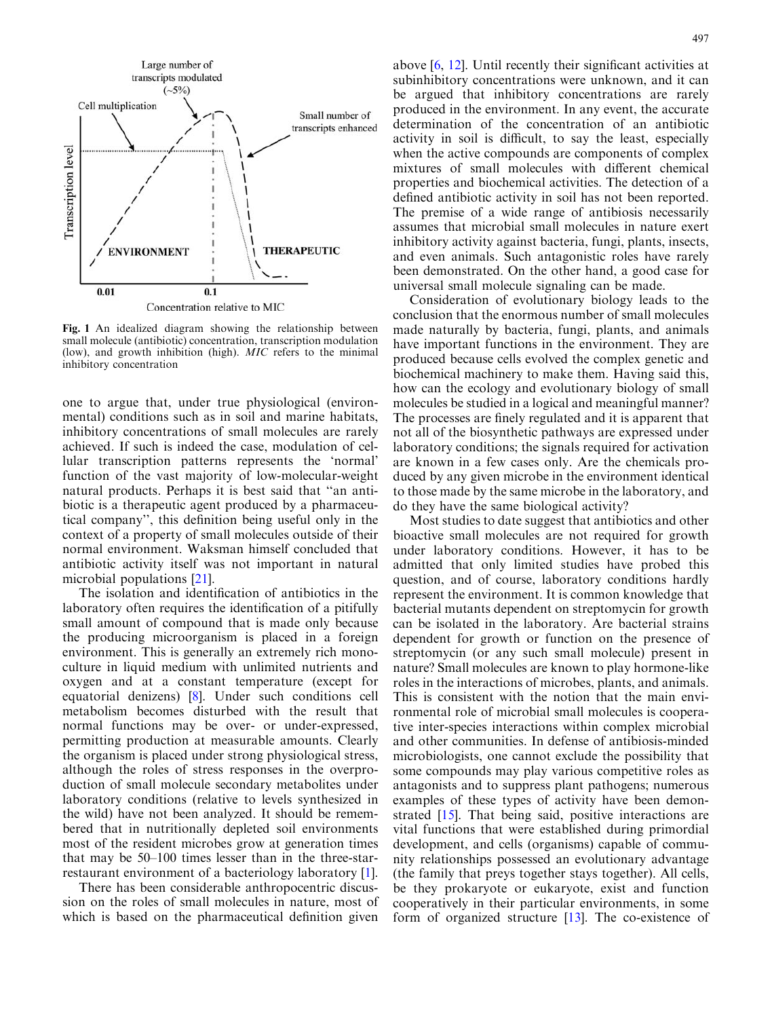<span id="page-1-0"></span>

Fig. 1 An idealized diagram showing the relationship between small molecule (antibiotic) concentration, transcription modulation (low), and growth inhibition (high). MIC refers to the minimal inhibitory concentration

one to argue that, under true physiological (environmental) conditions such as in soil and marine habitats, inhibitory concentrations of small molecules are rarely achieved. If such is indeed the case, modulation of cellular transcription patterns represents the 'normal' function of the vast majority of low-molecular-weight natural products. Perhaps it is best said that ''an antibiotic is a therapeutic agent produced by a pharmaceutical company'', this definition being useful only in the context of a property of small molecules outside of their normal environment. Waksman himself concluded that antibiotic activity itself was not important in natural microbial populations [\[21\]](#page-3-0).

The isolation and identification of antibiotics in the laboratory often requires the identification of a pitifully small amount of compound that is made only because the producing microorganism is placed in a foreign environment. This is generally an extremely rich monoculture in liquid medium with unlimited nutrients and oxygen and at a constant temperature (except for equatorial denizens) [\[8](#page-3-0)]. Under such conditions cell metabolism becomes disturbed with the result that normal functions may be over- or under-expressed, permitting production at measurable amounts. Clearly the organism is placed under strong physiological stress, although the roles of stress responses in the overproduction of small molecule secondary metabolites under laboratory conditions (relative to levels synthesized in the wild) have not been analyzed. It should be remembered that in nutritionally depleted soil environments most of the resident microbes grow at generation times that may be 50–100 times lesser than in the three-starrestaurant environment of a bacteriology laboratory [\[1](#page-2-0)].

There has been considerable anthropocentric discussion on the roles of small molecules in nature, most of which is based on the pharmaceutical definition given

above [[6,](#page-3-0) [12\]](#page-3-0). Until recently their significant activities at subinhibitory concentrations were unknown, and it can be argued that inhibitory concentrations are rarely produced in the environment. In any event, the accurate determination of the concentration of an antibiotic activity in soil is difficult, to say the least, especially when the active compounds are components of complex mixtures of small molecules with different chemical properties and biochemical activities. The detection of a defined antibiotic activity in soil has not been reported. The premise of a wide range of antibiosis necessarily assumes that microbial small molecules in nature exert inhibitory activity against bacteria, fungi, plants, insects, and even animals. Such antagonistic roles have rarely been demonstrated. On the other hand, a good case for universal small molecule signaling can be made.

Consideration of evolutionary biology leads to the conclusion that the enormous number of small molecules made naturally by bacteria, fungi, plants, and animals have important functions in the environment. They are produced because cells evolved the complex genetic and biochemical machinery to make them. Having said this, how can the ecology and evolutionary biology of small molecules be studied in a logical and meaningful manner? The processes are finely regulated and it is apparent that not all of the biosynthetic pathways are expressed under laboratory conditions; the signals required for activation are known in a few cases only. Are the chemicals produced by any given microbe in the environment identical to those made by the same microbe in the laboratory, and do they have the same biological activity?

Most studies to date suggest that antibiotics and other bioactive small molecules are not required for growth under laboratory conditions. However, it has to be admitted that only limited studies have probed this question, and of course, laboratory conditions hardly represent the environment. It is common knowledge that bacterial mutants dependent on streptomycin for growth can be isolated in the laboratory. Are bacterial strains dependent for growth or function on the presence of streptomycin (or any such small molecule) present in nature? Small molecules are known to play hormone-like roles in the interactions of microbes, plants, and animals. This is consistent with the notion that the main environmental role of microbial small molecules is cooperative inter-species interactions within complex microbial and other communities. In defense of antibiosis-minded microbiologists, one cannot exclude the possibility that some compounds may play various competitive roles as antagonists and to suppress plant pathogens; numerous examples of these types of activity have been demonstrated [[15\]](#page-3-0). That being said, positive interactions are vital functions that were established during primordial development, and cells (organisms) capable of community relationships possessed an evolutionary advantage (the family that preys together stays together). All cells, be they prokaryote or eukaryote, exist and function cooperatively in their particular environments, in some form of organized structure [\[13](#page-3-0)]. The co-existence of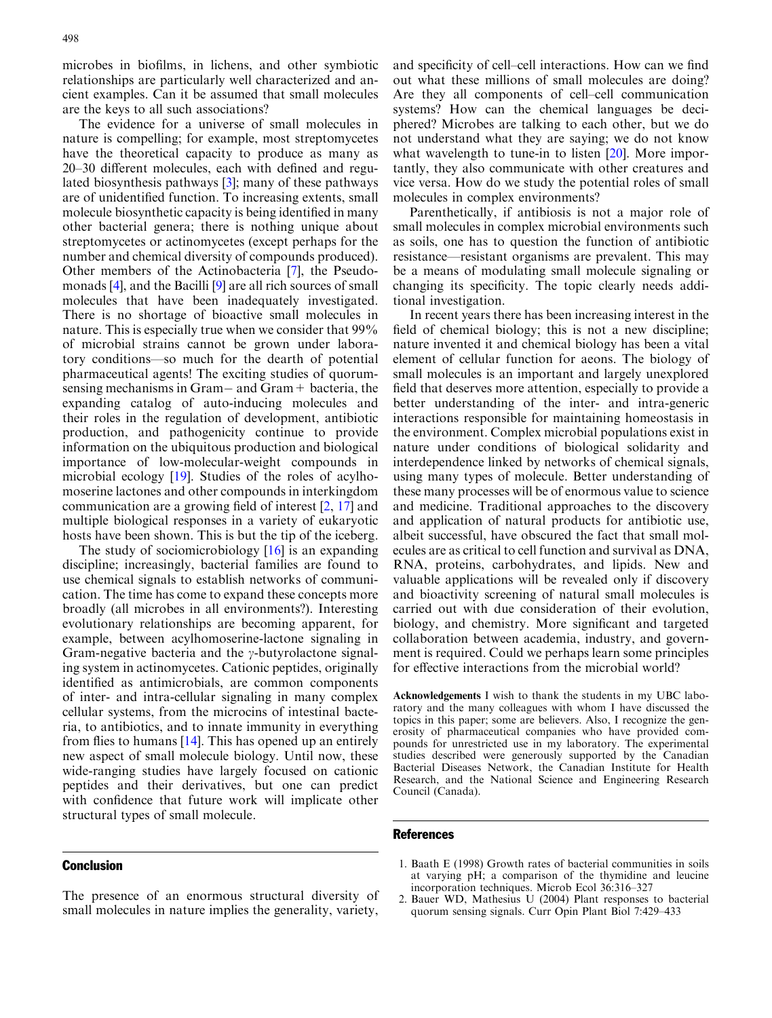<span id="page-2-0"></span>microbes in biofilms, in lichens, and other symbiotic relationships are particularly well characterized and ancient examples. Can it be assumed that small molecules are the keys to all such associations?

The evidence for a universe of small molecules in nature is compelling; for example, most streptomycetes have the theoretical capacity to produce as many as 20–30 different molecules, each with defined and regulated biosynthesis pathways [\[3](#page-3-0)]; many of these pathways are of unidentified function. To increasing extents, small molecule biosynthetic capacity is being identified in many other bacterial genera; there is nothing unique about streptomycetes or actinomycetes (except perhaps for the number and chemical diversity of compounds produced). Other members of the Actinobacteria [\[7](#page-3-0)], the Pseudomonads [\[4](#page-3-0)], and the Bacilli [[9\]](#page-3-0) are all rich sources of small molecules that have been inadequately investigated. There is no shortage of bioactive small molecules in nature. This is especially true when we consider that 99% of microbial strains cannot be grown under laboratory conditions—so much for the dearth of potential pharmaceutical agents! The exciting studies of quorumsensing mechanisms in Gram - and Gram + bacteria, the expanding catalog of auto-inducing molecules and their roles in the regulation of development, antibiotic production, and pathogenicity continue to provide information on the ubiquitous production and biological importance of low-molecular-weight compounds in microbial ecology [\[19](#page-3-0)]. Studies of the roles of acylhomoserine lactones and other compounds in interkingdom communication are a growing field of interest [2, [17](#page-3-0)] and multiple biological responses in a variety of eukaryotic hosts have been shown. This is but the tip of the iceberg.

The study of sociomicrobiology [[16\]](#page-3-0) is an expanding discipline; increasingly, bacterial families are found to use chemical signals to establish networks of communication. The time has come to expand these concepts more broadly (all microbes in all environments?). Interesting evolutionary relationships are becoming apparent, for example, between acylhomoserine-lactone signaling in Gram-negative bacteria and the *y*-butyrolactone signaling system in actinomycetes. Cationic peptides, originally identified as antimicrobials, are common components of inter- and intra-cellular signaling in many complex cellular systems, from the microcins of intestinal bacteria, to antibiotics, and to innate immunity in everything from flies to humans [\[14](#page-3-0)]. This has opened up an entirely new aspect of small molecule biology. Until now, these wide-ranging studies have largely focused on cationic peptides and their derivatives, but one can predict with confidence that future work will implicate other structural types of small molecule.

### **Conclusion**

The presence of an enormous structural diversity of small molecules in nature implies the generality, variety,

and specificity of cell–cell interactions. How can we find out what these millions of small molecules are doing? Are they all components of cell–cell communication systems? How can the chemical languages be deciphered? Microbes are talking to each other, but we do not understand what they are saying; we do not know what wavelength to tune-in to listen [\[20](#page-3-0)]. More importantly, they also communicate with other creatures and vice versa. How do we study the potential roles of small molecules in complex environments?

Parenthetically, if antibiosis is not a major role of small molecules in complex microbial environments such as soils, one has to question the function of antibiotic resistance—resistant organisms are prevalent. This may be a means of modulating small molecule signaling or changing its specificity. The topic clearly needs additional investigation.

In recent years there has been increasing interest in the field of chemical biology; this is not a new discipline; nature invented it and chemical biology has been a vital element of cellular function for aeons. The biology of small molecules is an important and largely unexplored field that deserves more attention, especially to provide a better understanding of the inter- and intra-generic interactions responsible for maintaining homeostasis in the environment. Complex microbial populations exist in nature under conditions of biological solidarity and interdependence linked by networks of chemical signals, using many types of molecule. Better understanding of these many processes will be of enormous value to science and medicine. Traditional approaches to the discovery and application of natural products for antibiotic use, albeit successful, have obscured the fact that small molecules are as critical to cell function and survival as DNA, RNA, proteins, carbohydrates, and lipids. New and valuable applications will be revealed only if discovery and bioactivity screening of natural small molecules is carried out with due consideration of their evolution, biology, and chemistry. More significant and targeted collaboration between academia, industry, and government is required. Could we perhaps learn some principles for effective interactions from the microbial world?

Acknowledgements I wish to thank the students in my UBC laboratory and the many colleagues with whom I have discussed the topics in this paper; some are believers. Also, I recognize the generosity of pharmaceutical companies who have provided compounds for unrestricted use in my laboratory. The experimental studies described were generously supported by the Canadian Bacterial Diseases Network, the Canadian Institute for Health Research, and the National Science and Engineering Research Council (Canada).

#### **References**

- 1. Baath E (1998) Growth rates of bacterial communities in soils at varying pH; a comparison of the thymidine and leucine incorporation techniques. Microb Ecol 36:316–327
- 2. Bauer WD, Mathesius U (2004) Plant responses to bacterial quorum sensing signals. Curr Opin Plant Biol 7:429–433